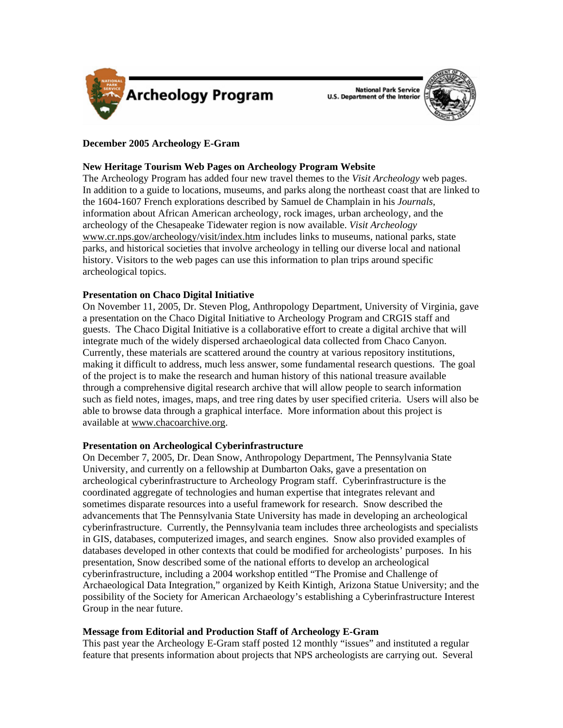

National Park Service<br>U.S. Department of the Interior



# **December 2005 Archeology E-Gram**

# **New Heritage Tourism Web Pages on Archeology Program Website**

The Archeology Program has added four new travel themes to the *Visit Archeology* web pages. In addition to a guide to locations, museums, and parks along the northeast coast that are linked to the 1604-1607 French explorations described by Samuel de Champlain in his *Journals,*  information about African American archeology, rock images, urban archeology, and the archeology of the Chesapeake Tidewater region is now available. *Visit Archeology*  [www.cr.nps.gov/archeology/visit/index.htm](http://www.cr.nps.gov/archeology/visit/index.htm) includes links to museums, national parks, state parks, and historical societies that involve archeology in telling our diverse local and national history. Visitors to the web pages can use this information to plan trips around specific archeological topics.

## **Presentation on Chaco Digital Initiative**

On November 11, 2005, Dr. Steven Plog, Anthropology Department, University of Virginia, gave a presentation on the Chaco Digital Initiative to Archeology Program and CRGIS staff and guests. The Chaco Digital Initiative is a collaborative effort to create a digital archive that will integrate much of the widely dispersed archaeological data collected from Chaco Canyon. Currently, these materials are scattered around the country at various repository institutions, making it difficult to address, much less answer, some fundamental research questions. The goal of the project is to make the research and human history of this national treasure available through a comprehensive digital research archive that will allow people to search information such as field notes, images, maps, and tree ring dates by user specified criteria. Users will also be able to browse data through a graphical interface. More information about this project is available at [www.chacoarchive.org](http://www.chacoarchive.org).

## **Presentation on Archeological Cyberinfrastructure**

On December 7, 2005, Dr. Dean Snow, Anthropology Department, The Pennsylvania State University, and currently on a fellowship at Dumbarton Oaks, gave a presentation on archeological cyberinfrastructure to Archeology Program staff. Cyberinfrastructure is the coordinated aggregate of technologies and human expertise that integrates relevant and sometimes disparate resources into a useful framework for research. Snow described the advancements that The Pennsylvania State University has made in developing an archeological cyberinfrastructure. Currently, the Pennsylvania team includes three archeologists and specialists in GIS, databases, computerized images, and search engines. Snow also provided examples of databases developed in other contexts that could be modified for archeologists' purposes. In his presentation, Snow described some of the national efforts to develop an archeological cyberinfrastructure, including a 2004 workshop entitled "The Promise and Challenge of Archaeological Data Integration," organized by Keith Kintigh, Arizona Statue University; and the possibility of the Society for American Archaeology's establishing a Cyberinfrastructure Interest Group in the near future.

# **Message from Editorial and Production Staff of Archeology E-Gram**

This past year the Archeology E-Gram staff posted 12 monthly "issues" and instituted a regular feature that presents information about projects that NPS archeologists are carrying out. Several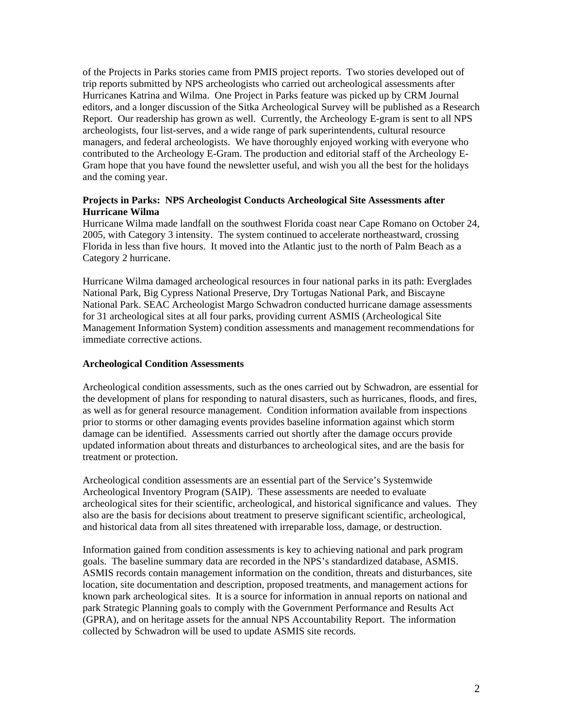of the Projects in Parks stories came from PMIS project reports. Two stories developed out of trip reports submitted by NPS archeologists who carried out archeological assessments after Hurricanes Katrina and Wilma. One Project in Parks feature was picked up by CRM Journal editors, and a longer discussion of the Sitka Archeological Survey will be published as a Research Report. Our readership has grown as well. Currently, the Archeology E-gram is sent to all NPS archeologists, four list-serves, and a wide range of park superintendents, cultural resource managers, and federal archeologists. We have thoroughly enjoyed working with everyone who contributed to the Archeology E-Gram. The production and editorial staff of the Archeology E-Gram hope that you have found the newsletter useful, and wish you all the best for the holidays and the coming year.

# **Projects in Parks: NPS Archeologist Conducts Archeological Site Assessments after Hurricane Wilma**

Hurricane Wilma made landfall on the southwest Florida coast near Cape Romano on October 24, 2005, with Category 3 intensity. The system continued to accelerate northeastward, crossing Florida in less than five hours. It moved into the Atlantic just to the north of Palm Beach as a Category 2 hurricane.

Hurricane Wilma damaged archeological resources in four national parks in its path: Everglades National Park, Big Cypress National Preserve, Dry Tortugas National Park, and Biscayne National Park. SEAC Archeologist Margo Schwadron conducted hurricane damage assessments for 31 archeological sites at all four parks, providing current ASMIS (Archeological Site Management Information System) condition assessments and management recommendations for immediate corrective actions.

#### **Archeological Condition Assessments**

Archeological condition assessments, such as the ones carried out by Schwadron, are essential for the development of plans for responding to natural disasters, such as hurricanes, floods, and fires, as well as for general resource management. Condition information available from inspections prior to storms or other damaging events provides baseline information against which storm damage can be identified. Assessments carried out shortly after the damage occurs provide updated information about threats and disturbances to archeological sites, and are the basis for treatment or protection.

Archeological condition assessments are an essential part of the Service's Systemwide Archeological Inventory Program (SAIP). These assessments are needed to evaluate archeological sites for their scientific, archeological, and historical significance and values. They also are the basis for decisions about treatment to preserve significant scientific, archeological, and historical data from all sites threatened with irreparable loss, damage, or destruction.

Information gained from condition assessments is key to achieving national and park program goals. The baseline summary data are recorded in the NPS's standardized database, ASMIS. ASMIS records contain management information on the condition, threats and disturbances, site location, site documentation and description, proposed treatments, and management actions for known park archeological sites. It is a source for information in annual reports on national and park Strategic Planning goals to comply with the Government Performance and Results Act (GPRA), and on heritage assets for the annual NPS Accountability Report. The information collected by Schwadron will be used to update ASMIS site records.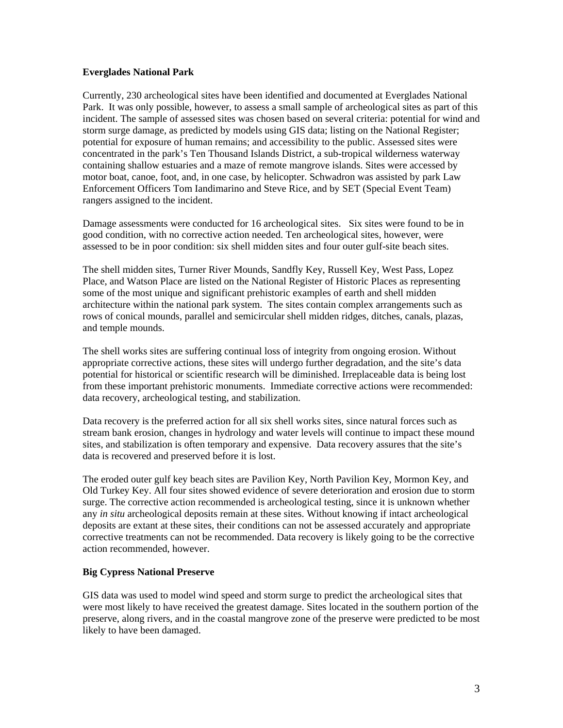### **Everglades National Park**

Currently, 230 archeological sites have been identified and documented at Everglades National Park. It was only possible, however, to assess a small sample of archeological sites as part of this incident. The sample of assessed sites was chosen based on several criteria: potential for wind and storm surge damage, as predicted by models using GIS data; listing on the National Register; potential for exposure of human remains; and accessibility to the public. Assessed sites were concentrated in the park's Ten Thousand Islands District, a sub-tropical wilderness waterway containing shallow estuaries and a maze of remote mangrove islands. Sites were accessed by motor boat, canoe, foot, and, in one case, by helicopter. Schwadron was assisted by park Law Enforcement Officers Tom Iandimarino and Steve Rice, and by SET (Special Event Team) rangers assigned to the incident.

Damage assessments were conducted for 16 archeological sites. Six sites were found to be in good condition, with no corrective action needed. Ten archeological sites, however, were assessed to be in poor condition: six shell midden sites and four outer gulf-site beach sites.

The shell midden sites, Turner River Mounds, Sandfly Key, Russell Key, West Pass, Lopez Place, and Watson Place are listed on the National Register of Historic Places as representing some of the most unique and significant prehistoric examples of earth and shell midden architecture within the national park system. The sites contain complex arrangements such as rows of conical mounds, parallel and semicircular shell midden ridges, ditches, canals, plazas, and temple mounds.

The shell works sites are suffering continual loss of integrity from ongoing erosion. Without appropriate corrective actions, these sites will undergo further degradation, and the site's data potential for historical or scientific research will be diminished. Irreplaceable data is being lost from these important prehistoric monuments. Immediate corrective actions were recommended: data recovery, archeological testing, and stabilization.

Data recovery is the preferred action for all six shell works sites, since natural forces such as stream bank erosion, changes in hydrology and water levels will continue to impact these mound sites, and stabilization is often temporary and expensive. Data recovery assures that the site's data is recovered and preserved before it is lost.

The eroded outer gulf key beach sites are Pavilion Key, North Pavilion Key, Mormon Key, and Old Turkey Key. All four sites showed evidence of severe deterioration and erosion due to storm surge. The corrective action recommended is archeological testing, since it is unknown whether any *in situ* archeological deposits remain at these sites. Without knowing if intact archeological deposits are extant at these sites, their conditions can not be assessed accurately and appropriate corrective treatments can not be recommended. Data recovery is likely going to be the corrective action recommended, however.

## **Big Cypress National Preserve**

GIS data was used to model wind speed and storm surge to predict the archeological sites that were most likely to have received the greatest damage. Sites located in the southern portion of the preserve, along rivers, and in the coastal mangrove zone of the preserve were predicted to be most likely to have been damaged.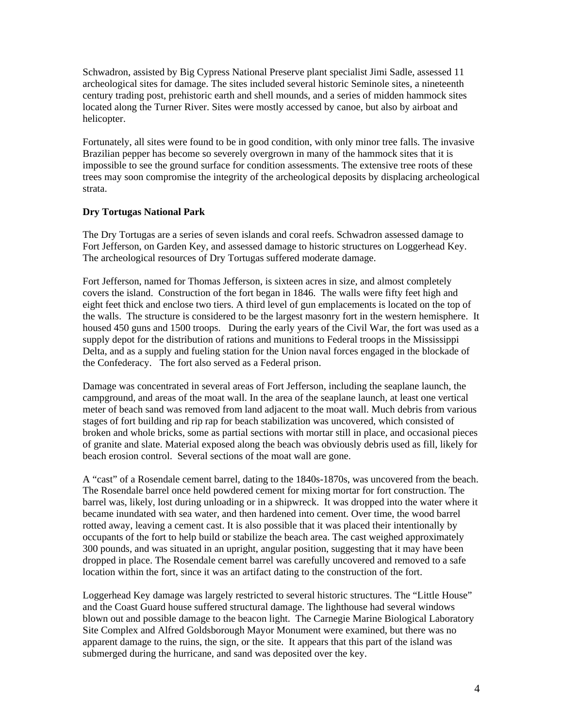Schwadron, assisted by Big Cypress National Preserve plant specialist Jimi Sadle, assessed 11 archeological sites for damage. The sites included several historic Seminole sites, a nineteenth century trading post, prehistoric earth and shell mounds, and a series of midden hammock sites located along the Turner River. Sites were mostly accessed by canoe, but also by airboat and helicopter.

Fortunately, all sites were found to be in good condition, with only minor tree falls. The invasive Brazilian pepper has become so severely overgrown in many of the hammock sites that it is impossible to see the ground surface for condition assessments. The extensive tree roots of these trees may soon compromise the integrity of the archeological deposits by displacing archeological strata.

## **Dry Tortugas National Park**

The Dry Tortugas are a series of seven islands and coral reefs. Schwadron assessed damage to Fort Jefferson, on Garden Key, and assessed damage to historic structures on Loggerhead Key. The archeological resources of Dry Tortugas suffered moderate damage.

Fort Jefferson, named for Thomas Jefferson, is sixteen acres in size, and almost completely covers the island. Construction of the fort began in 1846. The walls were fifty feet high and eight feet thick and enclose two tiers. A third level of gun emplacements is located on the top of the walls. The structure is considered to be the largest masonry fort in the western hemisphere. It housed 450 guns and 1500 troops. During the early years of the Civil War, the fort was used as a supply depot for the distribution of rations and munitions to Federal troops in the Mississippi Delta, and as a supply and fueling station for the Union naval forces engaged in the blockade of the Confederacy. The fort also served as a Federal prison.

Damage was concentrated in several areas of Fort Jefferson, including the seaplane launch, the campground, and areas of the moat wall. In the area of the seaplane launch, at least one vertical meter of beach sand was removed from land adjacent to the moat wall. Much debris from various stages of fort building and rip rap for beach stabilization was uncovered, which consisted of broken and whole bricks, some as partial sections with mortar still in place, and occasional pieces of granite and slate. Material exposed along the beach was obviously debris used as fill, likely for beach erosion control. Several sections of the moat wall are gone.

A "cast" of a Rosendale cement barrel, dating to the 1840s-1870s, was uncovered from the beach. The Rosendale barrel once held powdered cement for mixing mortar for fort construction. The barrel was, likely, lost during unloading or in a shipwreck. It was dropped into the water where it became inundated with sea water, and then hardened into cement. Over time, the wood barrel rotted away, leaving a cement cast. It is also possible that it was placed their intentionally by occupants of the fort to help build or stabilize the beach area. The cast weighed approximately 300 pounds, and was situated in an upright, angular position, suggesting that it may have been dropped in place. The Rosendale cement barrel was carefully uncovered and removed to a safe location within the fort, since it was an artifact dating to the construction of the fort.

Loggerhead Key damage was largely restricted to several historic structures. The "Little House" and the Coast Guard house suffered structural damage. The lighthouse had several windows blown out and possible damage to the beacon light. The Carnegie Marine Biological Laboratory Site Complex and Alfred Goldsborough Mayor Monument were examined, but there was no apparent damage to the ruins, the sign, or the site. It appears that this part of the island was submerged during the hurricane, and sand was deposited over the key.